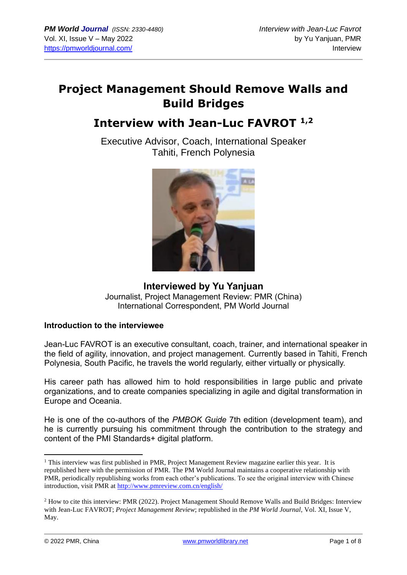## **Project Management Should Remove Walls and Build Bridges**

# **Interview with Jean-Luc FAVROT 1,2**

Executive Advisor, Coach, International Speaker Tahiti, French Polynesia



**Interviewed by Yu Yanjuan** Journalist, Project Management Review: PMR (China) International Correspondent, PM World Journal

### **Introduction to the interviewee**

Jean-Luc FAVROT is an executive consultant, coach, trainer, and international speaker in the field of agility, innovation, and project management. Currently based in Tahiti, French Polynesia, South Pacific, he travels the world regularly, either virtually or physically.

His career path has allowed him to hold responsibilities in large public and private organizations, and to create companies specializing in agile and digital transformation in Europe and Oceania.

He is one of the co-authors of the *PMBOK Guide* 7th edition (development team), and he is currently pursuing his commitment through the contribution to the strategy and content of the PMI Standards+ digital platform.

<sup>&</sup>lt;sup>1</sup> This interview was first published in PMR, Project Management Review magazine earlier this year. It is republished here with the permission of PMR. The PM World Journal maintains a cooperative relationship with PMR, periodically republishing works from each other's publications. To see the original interview with Chinese introduction, visit PMR at<http://www.pmreview.com.cn/english/>

<sup>&</sup>lt;sup>2</sup> How to cite this interview: PMR (2022). Project Management Should Remove Walls and Build Bridges: Interview with Jean-Luc FAVROT; *Project Management Review*; republished in the *PM World Journal*, Vol. XI, Issue V, May.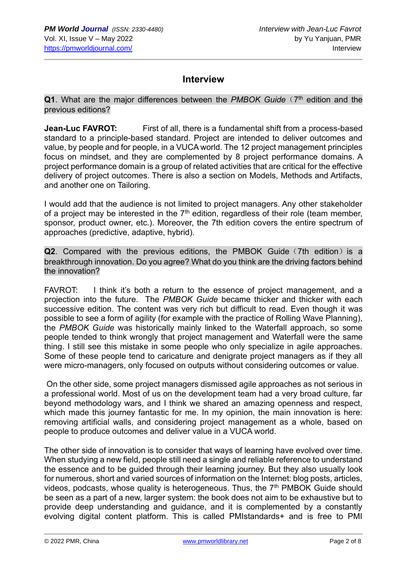## **Interview**

**Q1**. What are the major differences between the PMBOK Guide (7<sup>th</sup> edition and the previous editions?

**Jean-Luc FAVROT:** First of all, there is a fundamental shift from a process-based standard to a principle-based standard. Project are intended to deliver outcomes and value, by people and for people, in a VUCA world. The 12 project management principles focus on mindset, and they are complemented by 8 project performance domains. A project performance domain is a group of related activities that are critical for the effective delivery of project outcomes. There is also a section on Models, Methods and Artifacts, and another one on Tailoring.

I would add that the audience is not limited to project managers. Any other stakeholder of a project may be interested in the  $7<sup>th</sup>$  edition, regardless of their role (team member, sponsor, product owner, etc.). Moreover, the 7th edition covers the entire spectrum of approaches (predictive, adaptive, hybrid).

**Q2**. Compared with the previous editions, the PMBOK Guide (7th edition) is a breakthrough innovation. Do you agree? What do you think are the driving factors behind the innovation?

FAVROT: I think it's both a return to the essence of project management, and a projection into the future. The *PMBOK Guide* became thicker and thicker with each successive edition. The content was very rich but difficult to read. Even though it was possible to see a form of agility (for example with the practice of Rolling Wave Planning), the *PMBOK Guide* was historically mainly linked to the Waterfall approach, so some people tended to think wrongly that project management and Waterfall were the same thing. I still see this mistake in some people who only specialize in agile approaches. Some of these people tend to caricature and denigrate project managers as if they all were micro-managers, only focused on outputs without considering outcomes or value.

On the other side, some project managers dismissed agile approaches as not serious in a professional world. Most of us on the development team had a very broad culture, far beyond methodology wars, and I think we shared an amazing openness and respect, which made this journey fantastic for me. In my opinion, the main innovation is here: removing artificial walls, and considering project management as a whole, based on people to produce outcomes and deliver value in a VUCA world.

The other side of innovation is to consider that ways of learning have evolved over time. When studying a new field, people still need a single and reliable reference to understand the essence and to be guided through their learning journey. But they also usually look for numerous, short and varied sources of information on the Internet: blog posts, articles, videos, podcasts, whose quality is heterogeneous. Thus, the  $7<sup>th</sup>$  PMBOK Guide should be seen as a part of a new, larger system: the book does not aim to be exhaustive but to provide deep understanding and guidance, and it is complemented by a constantly evolving digital content platform. This is called PMIstandards+ and is free to PMI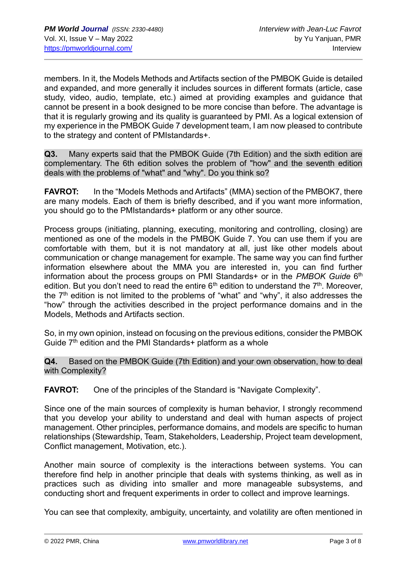members. In it, the Models Methods and Artifacts section of the PMBOK Guide is detailed and expanded, and more generally it includes sources in different formats (article, case study, video, audio, template, etc.) aimed at providing examples and guidance that cannot be present in a book designed to be more concise than before. The advantage is that it is regularly growing and its quality is guaranteed by PMI. As a logical extension of my experience in the PMBOK Guide 7 development team, I am now pleased to contribute to the strategy and content of PMIstandards+.

**Q3.** Many experts said that the PMBOK Guide (7th Edition) and the sixth edition are complementary. The 6th edition solves the problem of "how" and the seventh edition deals with the problems of "what" and "why". Do you think so?

**FAVROT:** In the "Models Methods and Artifacts" (MMA) section of the PMBOK7, there are many models. Each of them is briefly described, and if you want more information, you should go to the PMIstandards+ platform or any other source.

Process groups (initiating, planning, executing, monitoring and controlling, closing) are mentioned as one of the models in the PMBOK Guide 7. You can use them if you are comfortable with them, but it is not mandatory at all, just like other models about communication or change management for example. The same way you can find further information elsewhere about the MMA you are interested in, you can find further information about the process groups on PMI Standards+ or in the *PMBOK Guide* 6<sup>th</sup> edition. But you don't need to read the entire  $6<sup>th</sup>$  edition to understand the  $7<sup>th</sup>$ . Moreover, the  $7<sup>th</sup>$  edition is not limited to the problems of "what" and "why", it also addresses the "how" through the activities described in the project performance domains and in the Models, Methods and Artifacts section.

So, in my own opinion, instead on focusing on the previous editions, consider the PMBOK Guide  $7<sup>th</sup>$  edition and the PMI Standards+ platform as a whole

**Q4.** Based on the PMBOK Guide (7th Edition) and your own observation, how to deal with Complexity?

**FAVROT:** One of the principles of the Standard is "Navigate Complexity".

Since one of the main sources of complexity is human behavior, I strongly recommend that you develop your ability to understand and deal with human aspects of project management. Other principles, performance domains, and models are specific to human relationships (Stewardship, Team, Stakeholders, Leadership, Project team development, Conflict management, Motivation, etc.).

Another main source of complexity is the interactions between systems. You can therefore find help in another principle that deals with systems thinking, as well as in practices such as dividing into smaller and more manageable subsystems, and conducting short and frequent experiments in order to collect and improve learnings.

You can see that complexity, ambiguity, uncertainty, and volatility are often mentioned in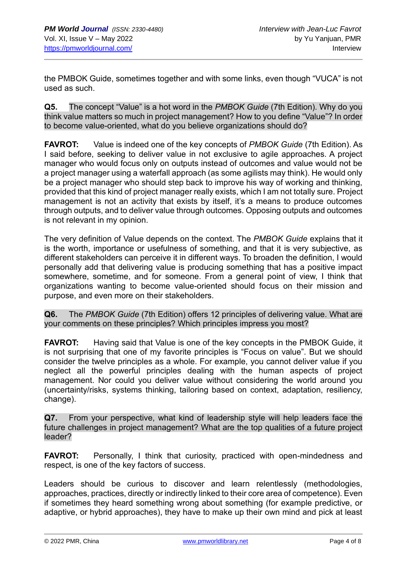the PMBOK Guide, sometimes together and with some links, even though "VUCA" is not used as such.

**Q5.** The concept "Value" is a hot word in the *PMBOK Guide* (7th Edition). Why do you think value matters so much in project management? How to you define "Value"? In order to become value-oriented, what do you believe organizations should do?

**FAVROT:** Value is indeed one of the key concepts of *PMBOK Guide* (7th Edition). As I said before, seeking to deliver value in not exclusive to agile approaches. A project manager who would focus only on outputs instead of outcomes and value would not be a project manager using a waterfall approach (as some agilists may think). He would only be a project manager who should step back to improve his way of working and thinking, provided that this kind of project manager really exists, which I am not totally sure. Project management is not an activity that exists by itself, it's a means to produce outcomes through outputs, and to deliver value through outcomes. Opposing outputs and outcomes is not relevant in my opinion.

The very definition of Value depends on the context. The *PMBOK Guide* explains that it is the worth, importance or usefulness of something, and that it is very subjective, as different stakeholders can perceive it in different ways. To broaden the definition, I would personally add that delivering value is producing something that has a positive impact somewhere, sometime, and for someone. From a general point of view, I think that organizations wanting to become value-oriented should focus on their mission and purpose, and even more on their stakeholders.

**Q6.** The *PMBOK Guide* (7th Edition) offers 12 principles of delivering value. What are your comments on these principles? Which principles impress you most?

**FAVROT:** Having said that Value is one of the key concepts in the PMBOK Guide, it is not surprising that one of my favorite principles is "Focus on value". But we should consider the twelve principles as a whole. For example, you cannot deliver value if you neglect all the powerful principles dealing with the human aspects of project management. Nor could you deliver value without considering the world around you (uncertainty/risks, systems thinking, tailoring based on context, adaptation, resiliency, change).

**Q7.** From your perspective, what kind of leadership style will help leaders face the future challenges in project management? What are the top qualities of a future project leader?

**FAVROT:** Personally, I think that curiosity, practiced with open-mindedness and respect, is one of the key factors of success.

Leaders should be curious to discover and learn relentlessly (methodologies, approaches, practices, directly or indirectly linked to their core area of competence). Even if sometimes they heard something wrong about something (for example predictive, or adaptive, or hybrid approaches), they have to make up their own mind and pick at least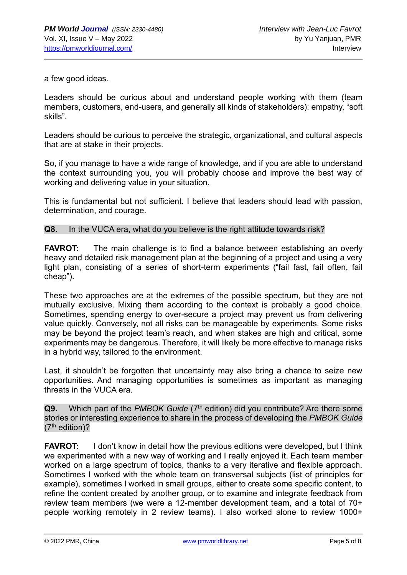a few good ideas.

Leaders should be curious about and understand people working with them (team members, customers, end-users, and generally all kinds of stakeholders): empathy, "soft skills".

Leaders should be curious to perceive the strategic, organizational, and cultural aspects that are at stake in their projects.

So, if you manage to have a wide range of knowledge, and if you are able to understand the context surrounding you, you will probably choose and improve the best way of working and delivering value in your situation.

This is fundamental but not sufficient. I believe that leaders should lead with passion, determination, and courage.

#### **Q8.** In the VUCA era, what do you believe is the right attitude towards risk?

**FAVROT:** The main challenge is to find a balance between establishing an overly heavy and detailed risk management plan at the beginning of a project and using a very light plan, consisting of a series of short-term experiments ("fail fast, fail often, fail cheap").

These two approaches are at the extremes of the possible spectrum, but they are not mutually exclusive. Mixing them according to the context is probably a good choice. Sometimes, spending energy to over-secure a project may prevent us from delivering value quickly. Conversely, not all risks can be manageable by experiments. Some risks may be beyond the project team's reach, and when stakes are high and critical, some experiments may be dangerous. Therefore, it will likely be more effective to manage risks in a hybrid way, tailored to the environment.

Last, it shouldn't be forgotten that uncertainty may also bring a chance to seize new opportunities. And managing opportunities is sometimes as important as managing threats in the VUCA era.

**Q9.** Which part of the *PMBOK Guide* (7<sup>th</sup> edition) did you contribute? Are there some stories or interesting experience to share in the process of developing the *PMBOK Guide*  $(7<sup>th</sup>$  edition)?

**FAVROT:** I don't know in detail how the previous editions were developed, but I think we experimented with a new way of working and I really enjoyed it. Each team member worked on a large spectrum of topics, thanks to a very iterative and flexible approach. Sometimes I worked with the whole team on transversal subjects (list of principles for example), sometimes I worked in small groups, either to create some specific content, to refine the content created by another group, or to examine and integrate feedback from review team members (we were a 12-member development team, and a total of 70+ people working remotely in 2 review teams). I also worked alone to review 1000+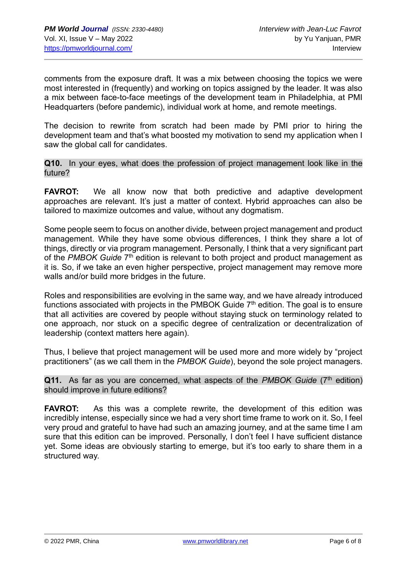comments from the exposure draft. It was a mix between choosing the topics we were most interested in (frequently) and working on topics assigned by the leader. It was also a mix between face-to-face meetings of the development team in Philadelphia, at PMI Headquarters (before pandemic), individual work at home, and remote meetings.

The decision to rewrite from scratch had been made by PMI prior to hiring the development team and that's what boosted my motivation to send my application when I saw the global call for candidates.

**Q10.** In your eyes, what does the profession of project management look like in the future?

**FAVROT:** We all know now that both predictive and adaptive development approaches are relevant. It's just a matter of context. Hybrid approaches can also be tailored to maximize outcomes and value, without any dogmatism.

Some people seem to focus on another divide, between project management and product management. While they have some obvious differences, I think they share a lot of things, directly or via program management. Personally, I think that a very significant part of the PMBOK Guide 7<sup>th</sup> edition is relevant to both project and product management as it is. So, if we take an even higher perspective, project management may remove more walls and/or build more bridges in the future.

Roles and responsibilities are evolving in the same way, and we have already introduced functions associated with projects in the PMBOK Guide  $7<sup>th</sup>$  edition. The goal is to ensure that all activities are covered by people without staying stuck on terminology related to one approach, nor stuck on a specific degree of centralization or decentralization of leadership (context matters here again).

Thus, I believe that project management will be used more and more widely by "project practitioners" (as we call them in the *PMBOK Guide*), beyond the sole project managers.

**Q11.** As far as you are concerned, what aspects of the *PMBOK Guide* (7<sup>th</sup> edition) should improve in future editions?

**FAVROT:** As this was a complete rewrite, the development of this edition was incredibly intense, especially since we had a very short time frame to work on it. So, I feel very proud and grateful to have had such an amazing journey, and at the same time I am sure that this edition can be improved. Personally, I don't feel I have sufficient distance yet. Some ideas are obviously starting to emerge, but it's too early to share them in a structured way.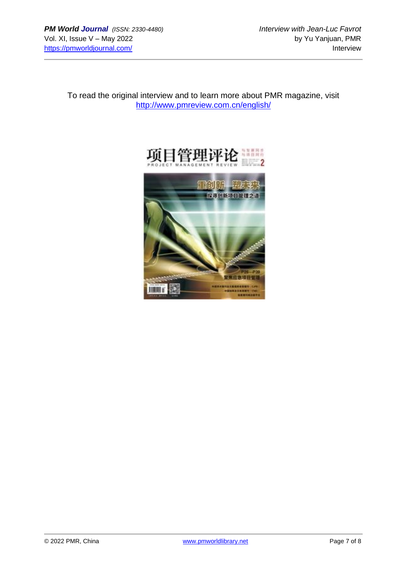To read the original interview and to learn more about PMR magazine, visit <http://www.pmreview.com.cn/english/>